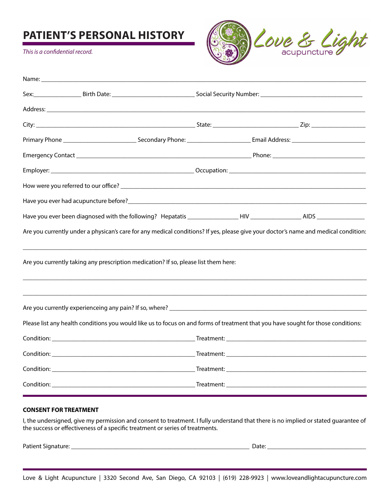# **PATIENT'S PERSONAL HISTORY**

*This is a confidential record.*



| Name: when the contract of the contract of the contract of the contract of the contract of the contract of the contract of the contract of the contract of the contract of the contract of the contract of the contract of the |  |  |  |
|--------------------------------------------------------------------------------------------------------------------------------------------------------------------------------------------------------------------------------|--|--|--|
|                                                                                                                                                                                                                                |  |  |  |
|                                                                                                                                                                                                                                |  |  |  |
|                                                                                                                                                                                                                                |  |  |  |
|                                                                                                                                                                                                                                |  |  |  |
|                                                                                                                                                                                                                                |  |  |  |
|                                                                                                                                                                                                                                |  |  |  |
|                                                                                                                                                                                                                                |  |  |  |
|                                                                                                                                                                                                                                |  |  |  |
|                                                                                                                                                                                                                                |  |  |  |
| Are you currently under a physican's care for any medical conditions? If yes, please give your doctor's name and medical condition:                                                                                            |  |  |  |
| Are you currently taking any prescription medication? If so, please list them here:                                                                                                                                            |  |  |  |
|                                                                                                                                                                                                                                |  |  |  |
|                                                                                                                                                                                                                                |  |  |  |
| Please list any health conditions you would like us to focus on and forms of treatment that you have sought for those conditions:                                                                                              |  |  |  |
|                                                                                                                                                                                                                                |  |  |  |
|                                                                                                                                                                                                                                |  |  |  |
|                                                                                                                                                                                                                                |  |  |  |
|                                                                                                                                                                                                                                |  |  |  |

#### **CONSENT FOR TREATMENT**

I, the undersigned, give my permission and consent to treatment. I fully understand that there is no implied or stated guarantee of the success or effectiveness of a specific treatment or series of treatments.

Patient Signature: \_\_\_\_\_\_\_\_\_\_\_\_\_\_\_\_\_\_\_\_\_\_\_\_\_\_\_\_\_\_\_\_\_\_\_\_\_\_\_\_\_\_\_\_\_\_\_\_\_\_\_\_\_\_\_\_ Date: \_\_\_\_\_\_\_\_\_\_\_\_\_\_\_\_\_\_\_\_\_\_\_\_\_\_\_\_\_\_\_